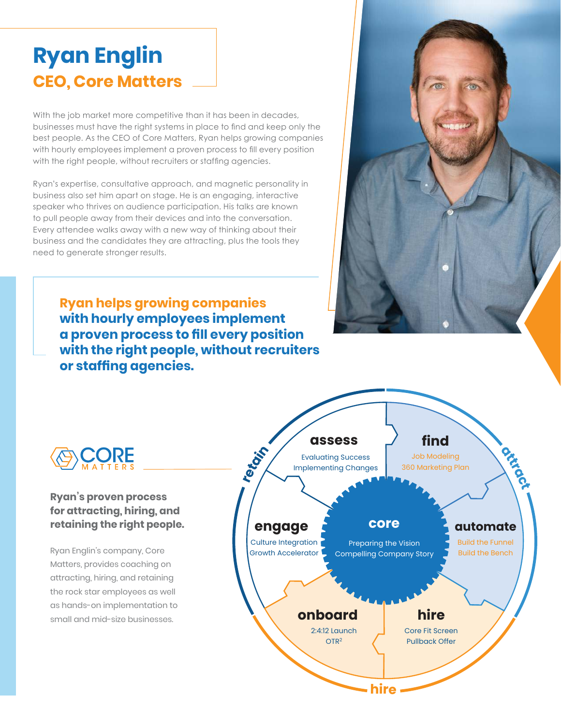## **Ryan Englin CEO, Core Matters**

With the job market more competitive than it has been in decades, businesses must have the right systems in place to find and keep only the best people. As the CEO of Core Matters, Ryan helps growing companies with hourly employees implement a proven process to fill every position with the right people, without recruiters or staffing agencies.

Ryan's expertise, consultative approach, and magnetic personality in business also set him apart on stage. He is an engaging, interactive speaker who thrives on audience participation. His talks are known to pull people away from their devices and into the conversation. Every attendee walks away with a new way of thinking about their business and the candidates they are attracting, plus the tools they need to generate stronger results.

**Ryan helps growing companies with hourly employees implement a proven process to fill every position with the right people, without recruiters or staffing agencies.** 



## **Ryan's proven process for attracting, hiring, and retaining the right people.**

Ryan Englin's company, Core Matters, provides coaching on attracting, hiring, and retaining the rock star employees as well as hands-on implementation to small and mid-size businesses.